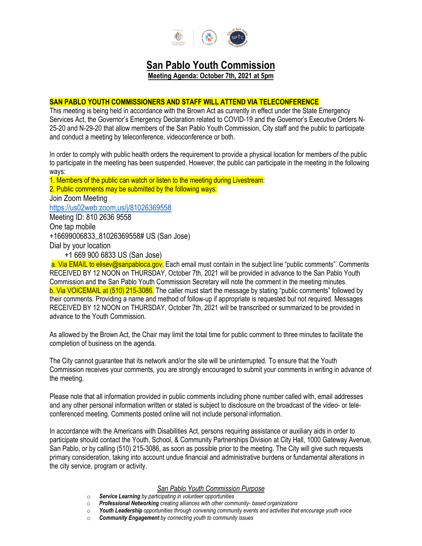

# **San Pablo Youth Commission**

**Meeting Agenda: October 7th, 2021 at 5pm**

# **SAN PABLO YOUTH COMMISSIONERS AND STAFF WILL ATTEND VIA TELECONFERENCE**

This meeting is being held in accordance with the Brown Act as currently in effect under the State Emergency Services Act, the Governor's Emergency Declaration related to COVID-19 and the Governor's Executive Orders N-25-20 and N-29-20 that allow members of the San Pablo Youth Commission, City staff and the public to participate and conduct a meeting by teleconference, videoconference or both.

In order to comply with public health orders the requirement to provide a physical location for members of the public to participate in the meeting has been suspended. However, the public can participate in the meeting in the following ways:

1. Members of the public can watch or listen to the meeting during Livestream: 2. Public comments may be submitted by the following ways: Join Zoom Meeting <https://us02web.zoom.us/j/81026369558> Meeting ID: 810 2636 9558 One tap mobile +16699006833,,81026369558# US (San Jose) Dial by your location +1 669 900 6833 US (San Jose) a. Via EMAIL to elisev@sanpabloca.gov. Each email must contain in the subject line "public comments". Comments

RECEIVED BY 12 NOON on THURSDAY, October 7th, 2021 will be provided in advance to the San Pablo Youth Commission and the San Pablo Youth Commission Secretary will note the comment in the meeting minutes. b. Via VOICEMAIL at (510) 215-3086. The caller must start the message by stating "public comments" followed by their comments. Providing a name and method of follow-up if appropriate is requested but not required. Messages RECEIVED BY 12 NOON on THURSDAY, October 7th, 2021 will be transcribed or summarized to be provided in advance to the Youth Commission.

As allowed by the Brown Act, the Chair may limit the total time for public comment to three minutes to facilitate the completion of business on the agenda.

The City cannot guarantee that its network and/or the site will be uninterrupted. To ensure that the Youth Commission receives your comments, you are strongly encouraged to submit your comments in writing in advance of the meeting.

Please note that all information provided in public comments including phone number called with, email addresses and any other personal information written or stated is subject to disclosure on the broadcast of the video- or teleconferenced meeting. Comments posted online will not include personal information.

In accordance with the Americans with Disabilities Act, persons requiring assistance or auxiliary aids in order to participate should contact the Youth, School, & Community Partnerships Division at City Hall, 1000 Gateway Avenue, San Pablo, or by calling (510) 215-3086, as soon as possible prior to the meeting. The City will give such requests primary consideration, taking into account undue financial and administrative burdens or fundamental alterations in the city service, program or activity.

#### *San Pablo Youth Commission Purpose*

- o *Service Learning by participating in volunteer opportunities*
- o *Professional Networking creating alliances with other community- based organizations*
- o *Youth Leadership opportunities through convening community events and activities that encourage youth voice*
- **Community Engagement** by connecting youth to community issues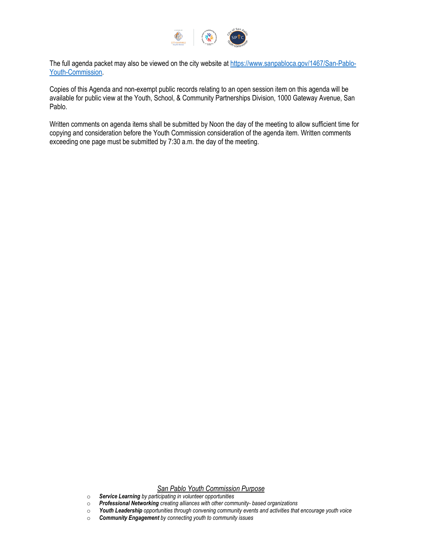

The full agenda packet may also be viewed on the city website at [https://www.sanpabloca.gov/1467/San-Pablo-](https://www.sanpabloca.gov/1467/San-Pablo-Youth-Commission)[Youth-Commission.](https://www.sanpabloca.gov/1467/San-Pablo-Youth-Commission)

Copies of this Agenda and non-exempt public records relating to an open session item on this agenda will be available for public view at the Youth, School, & Community Partnerships Division, 1000 Gateway Avenue, San Pablo.

Written comments on agenda items shall be submitted by Noon the day of the meeting to allow sufficient time for copying and consideration before the Youth Commission consideration of the agenda item. Written comments exceeding one page must be submitted by 7:30 a.m. the day of the meeting.

#### *San Pablo Youth Commission Purpose*

- o *Service Learning by participating in volunteer opportunities*
- o *Professional Networking creating alliances with other community- based organizations*
- o *Youth Leadership opportunities through convening community events and activities that encourage youth voice*
- o *Community Engagement by connecting youth to community issues*